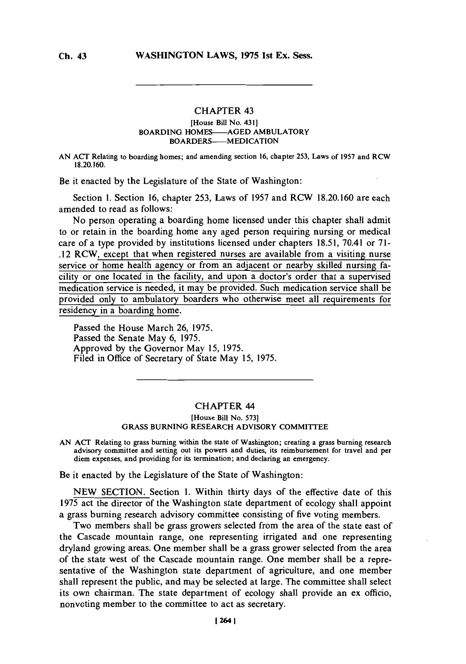## **CHAPTER 43** [House Bill No. 431] BOARDING **HOMES-AGED** AMBULATORY **BOARDERS-MEDICATION**

**AN ACT** Relating to boarding homes; and amending section **16,** chapter **253,** Laws of **1957** and RCW **18.20.160.**

Be it enacted **by** the Legislature of the State of Washington:

Section **1.** Section **16,** chapter *253,* Laws of **1957** and RCW **18.20.160** are each amended to read as follows:

No person operating a boarding home licensed under this chapter shall admit to or retain in the boarding home any aged person requiring nursing or medical care of a type provided **by** institutions licensed under chapters **18.51,** 70.41 or **71-** 12 RCW, except that when registered nurses are available from a visiting nurse service or home health agency or from an adjacent or nearby skilled nursing facility or one located in the facility, and upon a doctor's order that a supervised medication service is needed, it may be provided. Such medication service shall be provided only to ambulatory boarders who otherwise meet all requirements for residency in a boarding home.

Passed the House March **26, 1975.** Passed the Senate May **6, 1975.** Approved **by** the Governor May **15, 1975.** Filed in Office of Secretary of State May *15,* **1975.**

## CHAPTER 44

[House Bill No. **573] GRASS BURNING** RESEARCH ADVISORY **COMMITTEE**

**AN ACT** Relating to grass burning within the state of Washington; creating a grass burning research advisory committee and setting out its powers and duties, its reimbursement for travel and per diem expenses, and providing for its termination; and declaring an emergency.

**Be it enacted by** the Legislature of the State of Washington:

**NEW** SECTION. Section **1.** Within thirty days of the effective date of this **1975** act the director of the Washington state department of ecology shall appoint a grass burning research advisory committee consisting of five voting members.

Two members shall be grass growers selected from the area of the state east of the Cascade mountain range, one representing irrigated and one representing dryland growing areas. One member shall be a grass grower selected from the area of the state west of the Cascade mountain range. One member shall be a representative of the Washington state department of agriculture, and one member shall represent the public, and may be selected at large. The committee shall select its own chairman. The state department of ecology shall provide an ex officio, nonvoting member to the committee to act as secretary.